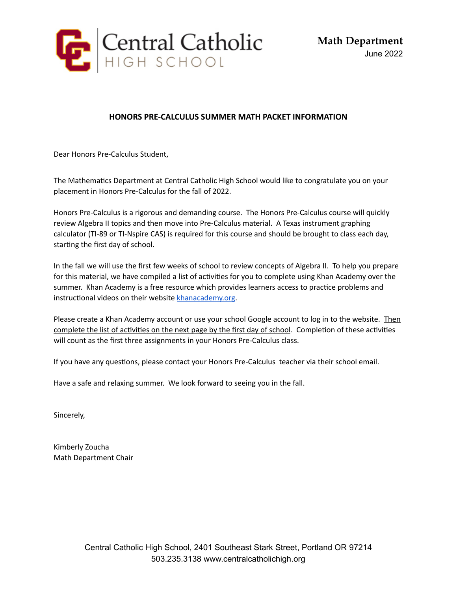

## **HONORS PRE-CALCULUS SUMMER MATH PACKET INFORMATION**

Dear Honors Pre-Calculus Student,

The Mathematics Department at Central Catholic High School would like to congratulate you on your placement in Honors Pre-Calculus for the fall of 2022.

Honors Pre-Calculus is a rigorous and demanding course. The Honors Pre-Calculus course will quickly review Algebra II topics and then move into Pre-Calculus material. A Texas instrument graphing calculator (TI-89 or TI-Nspire CAS) is required for this course and should be brought to class each day, starting the first day of school.

In the fall we will use the first few weeks of school to review concepts of Algebra II. To help you prepare for this material, we have compiled a list of activities for you to complete using Khan Academy over the summer. Khan Academy is a free resource which provides learners access to practice problems and instructional videos on their website [khanacademy.org](http://khanacademy.org/).

Please create a Khan Academy account or use your school Google account to log in to the website. Then complete the list of activities on the next page by the first day of school. Completion of these activities will count as the first three assignments in your Honors Pre-Calculus class.

If you have any questions, please contact your Honors Pre-Calculus teacher via their school email.

Have a safe and relaxing summer. We look forward to seeing you in the fall.

Sincerely,

Kimberly Zoucha Math Department Chair